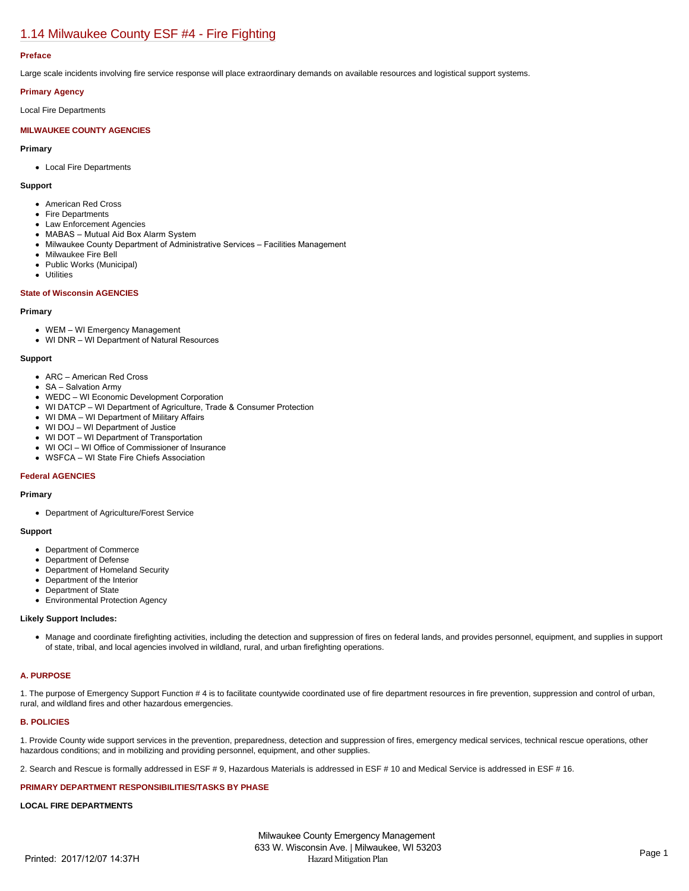# [1.14 Milwaukee County ESF #4 - Fire Fighting](https://milwaukeecounty.isc-cemp.com/Cemp/Details?id=5805892)

## **Preface**

Large scale incidents involving fire service response will place extraordinary demands on available resources and logistical support systems.

## **Primary Agency**

Local Fire Departments

# **MILWAUKEE COUNTY AGENCIES**

**Primary**

Local Fire Departments

**Support**

- American Red Cross
- Fire Departments
- Law Enforcement Agencies
- MABAS Mutual Aid Box Alarm System
- Milwaukee County Department of Administrative Services Facilities Management
- Milwaukee Fire Bell
- Public Works (Municipal)
- Utilities

## **State of Wisconsin AGENCIES**

#### **Primary**

- WEM WI Emergency Management
- WI DNR WI Department of Natural Resources

#### **Support**

- ARC American Red Cross
- SA Salvation Army
- WEDC WI Economic Development Corporation
- WI DATCP WI Department of Agriculture, Trade & Consumer Protection
- WI DMA WI Department of Military Affairs
- WI DOJ WI Department of Justice
- WI DOT WI Department of Transportation
- WI OCI WI Office of Commissioner of Insurance
- WSFCA WI State Fire Chiefs Association

## **Federal AGENCIES**

#### **Primary**

Department of Agriculture/Forest Service

## **Support**

- Department of Commerce
- Department of Defense
- Department of Homeland Security
- Department of the Interior
- Department of State
- Environmental Protection Agency

## **Likely Support Includes:**

Manage and coordinate firefighting activities, including the detection and suppression of fires on federal lands, and provides personnel, equipment, and supplies in support of state, tribal, and local agencies involved in wildland, rural, and urban firefighting operations.

# **A. PURPOSE**

1. The purpose of Emergency Support Function # 4 is to facilitate countywide coordinated use of fire department resources in fire prevention, suppression and control of urban, rural, and wildland fires and other hazardous emergencies.

# **B. POLICIES**

1. Provide County wide support services in the prevention, preparedness, detection and suppression of fires, emergency medical services, technical rescue operations, other hazardous conditions; and in mobilizing and providing personnel, equipment, and other supplies.

2. Search and Rescue is formally addressed in ESF # 9, Hazardous Materials is addressed in ESF # 10 and Medical Service is addressed in ESF # 16.

#### **PRIMARY DEPARTMENT RESPONSIBILITIES/TASKS BY PHASE**

### **LOCAL FIRE DEPARTMENTS**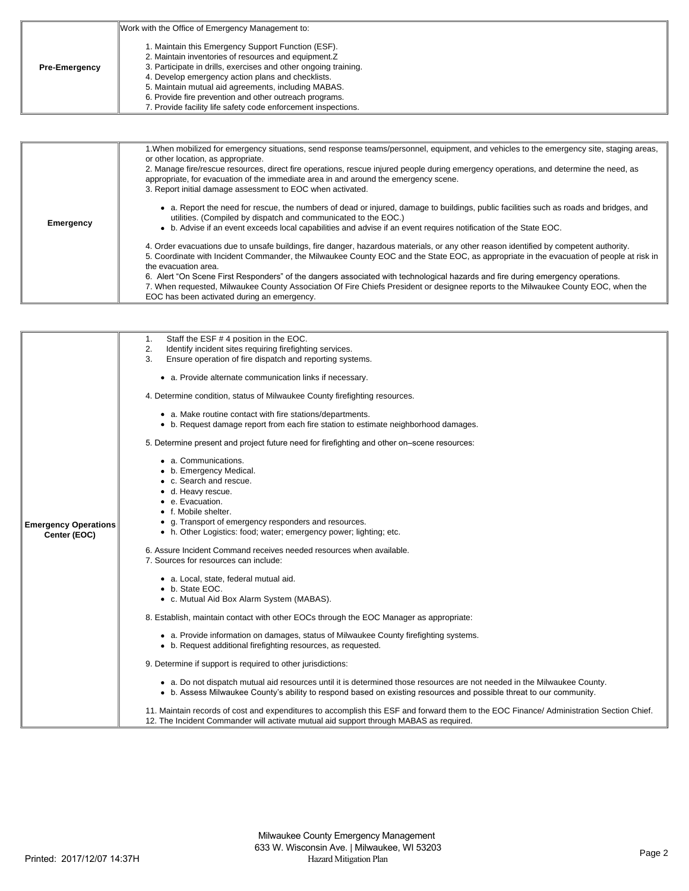|                      | Work with the Office of Emergency Management to:                                                                                                                                                                                                                                                                                                                                                                       |
|----------------------|------------------------------------------------------------------------------------------------------------------------------------------------------------------------------------------------------------------------------------------------------------------------------------------------------------------------------------------------------------------------------------------------------------------------|
| <b>Pre-Emergency</b> | 1. Maintain this Emergency Support Function (ESF).<br>2. Maintain inventories of resources and equipment. Z<br>3. Participate in drills, exercises and other ongoing training.<br>4. Develop emergency action plans and checklists.<br>5. Maintain mutual aid agreements, including MABAS.<br>6. Provide fire prevention and other outreach programs.<br>7. Provide facility life safety code enforcement inspections. |

| Emergency | 1. When mobilized for emergency situations, send response teams/personnel, equipment, and vehicles to the emergency site, staging areas,<br>or other location, as appropriate.<br>2. Manage fire/rescue resources, direct fire operations, rescue injured people during emergency operations, and determine the need, as<br>appropriate, for evacuation of the immediate area in and around the emergency scene.<br>3. Report initial damage assessment to EOC when activated.                                                                                                                                                     |
|-----------|------------------------------------------------------------------------------------------------------------------------------------------------------------------------------------------------------------------------------------------------------------------------------------------------------------------------------------------------------------------------------------------------------------------------------------------------------------------------------------------------------------------------------------------------------------------------------------------------------------------------------------|
|           | • a. Report the need for rescue, the numbers of dead or injured, damage to buildings, public facilities such as roads and bridges, and<br>utilities. (Compiled by dispatch and communicated to the EOC.)<br>• b. Advise if an event exceeds local capabilities and advise if an event requires notification of the State EOC.                                                                                                                                                                                                                                                                                                      |
|           | 4. Order evacuations due to unsafe buildings, fire danger, hazardous materials, or any other reason identified by competent authority.<br>5. Coordinate with Incident Commander, the Milwaukee County EOC and the State EOC, as appropriate in the evacuation of people at risk in<br>the evacuation area.<br>6. Alert "On Scene First Responders" of the dangers associated with technological hazards and fire during emergency operations.<br>7. When requested, Milwaukee County Association Of Fire Chiefs President or designee reports to the Milwaukee County EOC, when the<br>EOC has been activated during an emergency. |

|                             | Staff the ESF #4 position in the EOC.<br>1.                                                                                                                                                                                                     |
|-----------------------------|-------------------------------------------------------------------------------------------------------------------------------------------------------------------------------------------------------------------------------------------------|
|                             | Identify incident sites requiring firefighting services.<br>2.                                                                                                                                                                                  |
|                             | Ensure operation of fire dispatch and reporting systems.<br>3.                                                                                                                                                                                  |
|                             | • a. Provide alternate communication links if necessary.                                                                                                                                                                                        |
|                             | 4. Determine condition, status of Milwaukee County firefighting resources.                                                                                                                                                                      |
|                             | • a. Make routine contact with fire stations/departments.<br>• b. Request damage report from each fire station to estimate neighborhood damages.                                                                                                |
|                             | 5. Determine present and project future need for firefighting and other on-scene resources:                                                                                                                                                     |
|                             | • a. Communications.<br>• b. Emergency Medical.                                                                                                                                                                                                 |
|                             | • c. Search and rescue.                                                                                                                                                                                                                         |
|                             | d. Heavy rescue.                                                                                                                                                                                                                                |
|                             | e. Evacuation.                                                                                                                                                                                                                                  |
|                             | • f. Mobile shelter.                                                                                                                                                                                                                            |
| <b>Emergency Operations</b> | • g. Transport of emergency responders and resources.                                                                                                                                                                                           |
| Center (EOC)                | • h. Other Logistics: food; water; emergency power; lighting; etc.                                                                                                                                                                              |
|                             |                                                                                                                                                                                                                                                 |
|                             | 6. Assure Incident Command receives needed resources when available.                                                                                                                                                                            |
|                             | 7. Sources for resources can include:                                                                                                                                                                                                           |
|                             | • a. Local, state, federal mutual aid.                                                                                                                                                                                                          |
|                             | • b. State EOC.                                                                                                                                                                                                                                 |
|                             | • c. Mutual Aid Box Alarm System (MABAS).                                                                                                                                                                                                       |
|                             |                                                                                                                                                                                                                                                 |
|                             | 8. Establish, maintain contact with other EOCs through the EOC Manager as appropriate:                                                                                                                                                          |
|                             | • a. Provide information on damages, status of Milwaukee County firefighting systems.<br>• b. Request additional firefighting resources, as requested.                                                                                          |
|                             | 9. Determine if support is required to other jurisdictions:                                                                                                                                                                                     |
|                             | • a. Do not dispatch mutual aid resources until it is determined those resources are not needed in the Milwaukee County.<br>• b. Assess Milwaukee County's ability to respond based on existing resources and possible threat to our community. |
|                             | 11. Maintain records of cost and expenditures to accomplish this ESF and forward them to the EOC Finance/ Administration Section Chief.<br>12. The Incident Commander will activate mutual aid support through MABAS as required.               |